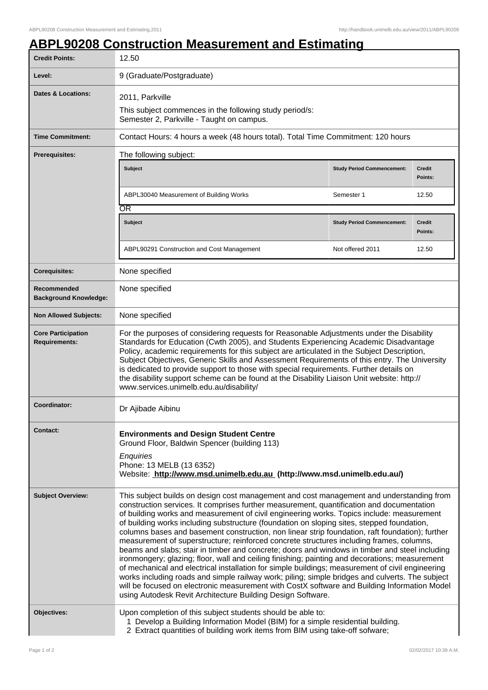## **ABPL90208 Construction Measurement and Estimating**

| <b>Credit Points:</b>                             | 12.50                                                                                                                                                                                                                                                                                                                                                                                                                                                                                                                                                                                                                                                                                                                                                                                                                                                                                                                                                                                                                                                                                                                                                     |                                   |                          |
|---------------------------------------------------|-----------------------------------------------------------------------------------------------------------------------------------------------------------------------------------------------------------------------------------------------------------------------------------------------------------------------------------------------------------------------------------------------------------------------------------------------------------------------------------------------------------------------------------------------------------------------------------------------------------------------------------------------------------------------------------------------------------------------------------------------------------------------------------------------------------------------------------------------------------------------------------------------------------------------------------------------------------------------------------------------------------------------------------------------------------------------------------------------------------------------------------------------------------|-----------------------------------|--------------------------|
| Level:                                            | 9 (Graduate/Postgraduate)                                                                                                                                                                                                                                                                                                                                                                                                                                                                                                                                                                                                                                                                                                                                                                                                                                                                                                                                                                                                                                                                                                                                 |                                   |                          |
| <b>Dates &amp; Locations:</b>                     | 2011, Parkville<br>This subject commences in the following study period/s:<br>Semester 2, Parkville - Taught on campus.                                                                                                                                                                                                                                                                                                                                                                                                                                                                                                                                                                                                                                                                                                                                                                                                                                                                                                                                                                                                                                   |                                   |                          |
| <b>Time Commitment:</b>                           | Contact Hours: 4 hours a week (48 hours total). Total Time Commitment: 120 hours                                                                                                                                                                                                                                                                                                                                                                                                                                                                                                                                                                                                                                                                                                                                                                                                                                                                                                                                                                                                                                                                          |                                   |                          |
| <b>Prerequisites:</b>                             | The following subject:                                                                                                                                                                                                                                                                                                                                                                                                                                                                                                                                                                                                                                                                                                                                                                                                                                                                                                                                                                                                                                                                                                                                    |                                   |                          |
|                                                   | Subject                                                                                                                                                                                                                                                                                                                                                                                                                                                                                                                                                                                                                                                                                                                                                                                                                                                                                                                                                                                                                                                                                                                                                   | <b>Study Period Commencement:</b> | <b>Credit</b><br>Points: |
|                                                   | ABPL30040 Measurement of Building Works                                                                                                                                                                                                                                                                                                                                                                                                                                                                                                                                                                                                                                                                                                                                                                                                                                                                                                                                                                                                                                                                                                                   | Semester 1                        | 12.50                    |
|                                                   | OR<br>Subject                                                                                                                                                                                                                                                                                                                                                                                                                                                                                                                                                                                                                                                                                                                                                                                                                                                                                                                                                                                                                                                                                                                                             | <b>Study Period Commencement:</b> | <b>Credit</b>            |
|                                                   | ABPL90291 Construction and Cost Management                                                                                                                                                                                                                                                                                                                                                                                                                                                                                                                                                                                                                                                                                                                                                                                                                                                                                                                                                                                                                                                                                                                | Not offered 2011                  | Points:<br>12.50         |
| <b>Corequisites:</b>                              | None specified                                                                                                                                                                                                                                                                                                                                                                                                                                                                                                                                                                                                                                                                                                                                                                                                                                                                                                                                                                                                                                                                                                                                            |                                   |                          |
| Recommended<br><b>Background Knowledge:</b>       | None specified                                                                                                                                                                                                                                                                                                                                                                                                                                                                                                                                                                                                                                                                                                                                                                                                                                                                                                                                                                                                                                                                                                                                            |                                   |                          |
| <b>Non Allowed Subjects:</b>                      | None specified                                                                                                                                                                                                                                                                                                                                                                                                                                                                                                                                                                                                                                                                                                                                                                                                                                                                                                                                                                                                                                                                                                                                            |                                   |                          |
| <b>Core Participation</b><br><b>Requirements:</b> | For the purposes of considering requests for Reasonable Adjustments under the Disability<br>Standards for Education (Cwth 2005), and Students Experiencing Academic Disadvantage<br>Policy, academic requirements for this subject are articulated in the Subject Description,<br>Subject Objectives, Generic Skills and Assessment Requirements of this entry. The University<br>is dedicated to provide support to those with special requirements. Further details on<br>the disability support scheme can be found at the Disability Liaison Unit website: http://<br>www.services.unimelb.edu.au/disability/                                                                                                                                                                                                                                                                                                                                                                                                                                                                                                                                         |                                   |                          |
| Coordinator:                                      | Dr Ajibade Aibinu                                                                                                                                                                                                                                                                                                                                                                                                                                                                                                                                                                                                                                                                                                                                                                                                                                                                                                                                                                                                                                                                                                                                         |                                   |                          |
| Contact:                                          | <b>Environments and Design Student Centre</b><br>Ground Floor, Baldwin Spencer (building 113)<br>Enquiries<br>Phone: 13 MELB (13 6352)<br>Website: http://www.msd.unimelb.edu.au (http://www.msd.unimelb.edu.au/)                                                                                                                                                                                                                                                                                                                                                                                                                                                                                                                                                                                                                                                                                                                                                                                                                                                                                                                                         |                                   |                          |
| <b>Subject Overview:</b>                          | This subject builds on design cost management and cost management and understanding from<br>construction services. It comprises further measurement, quantification and documentation<br>of building works and measurement of civil engineering works. Topics include: measurement<br>of building works including substructure (foundation on sloping sites, stepped foundation,<br>columns bases and basement construction, non linear strip foundation, raft foundation); further<br>measurement of superstructure; reinforced concrete structures including frames, columns,<br>beams and slabs; stair in timber and concrete; doors and windows in timber and steel including<br>ironmongery; glazing; floor, wall and ceiling finishing; painting and decorations; measurement<br>of mechanical and electrical installation for simple buildings; measurement of civil engineering<br>works including roads and simple railway work; piling; simple bridges and culverts. The subject<br>will be focused on electronic measurement with CostX software and Building Information Model<br>using Autodesk Revit Architecture Building Design Software. |                                   |                          |
| Objectives:                                       | Upon completion of this subject students should be able to:<br>1 Develop a Building Information Model (BIM) for a simple residential building.<br>2 Extract quantities of building work items from BIM using take-off sofware;                                                                                                                                                                                                                                                                                                                                                                                                                                                                                                                                                                                                                                                                                                                                                                                                                                                                                                                            |                                   |                          |